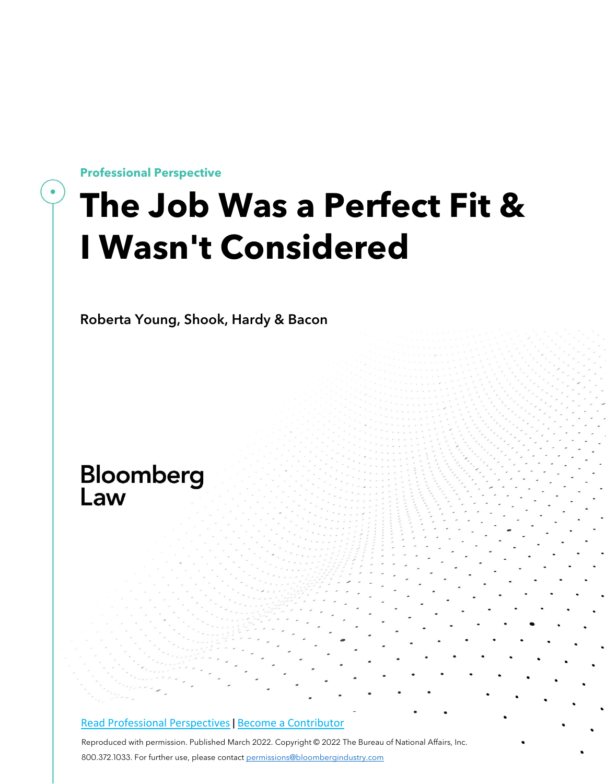**Professional Perspective**

## **The Job Was a Perfect Fit & I Wasn't Considered**

Roberta Young, Shook, Hardy & Bacon

# **Bloomberg**<br>Law

#### [Read Professional Perspectives](https://www.bloomberglaw.com/product/blaw/search/results/fce5c55b80fd6db95984633eb48fa7d5?utm_source=ACQ&utm_medium=PRP) [|](https://www.bloomberglaw.com/product/blaw/search/results/fce5c55b80fd6db95984633eb48fa7d5?utm_source=ACQ&utm_medium=PRP) [Become a Contributor](https://pro.bloomberglaw.com/become-a-contributor/?utm_source=ACQ&utm_medium=PRP)

Reproduced with permission. Published March 2022. Copyright © 2022 The Bureau of National Affairs, Inc. 800.372.1033. For further use, please contact [permissions@bloombergindustry.com](mailto:permissions@bloombergindustry.com)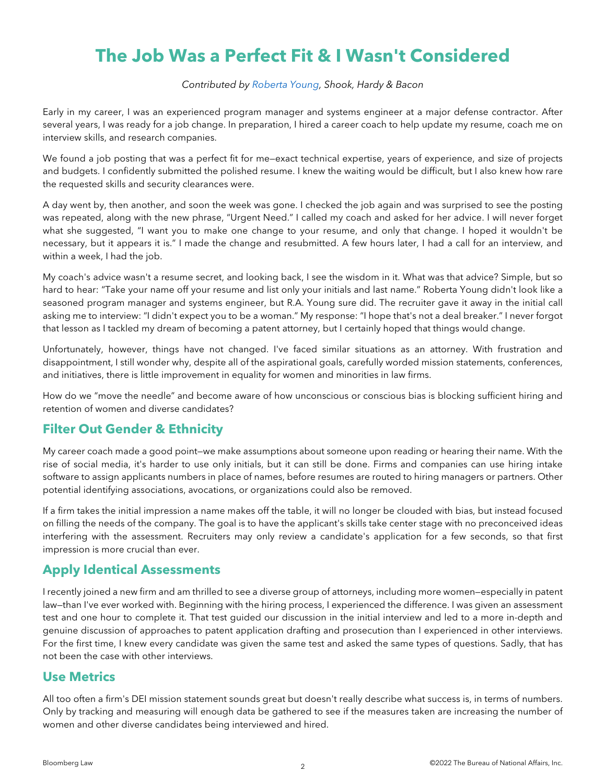### **The Job Was a Perfect Fit & I Wasn't Considered**

#### *Contributed by [Roberta Young,](https://www.shb.com/professionals/y/young-roberta) Shook, Hardy & Bacon*

Early in my career, I was an experienced program manager and systems engineer at a major defense contractor. After several years, I was ready for a job change. In preparation, I hired a career coach to help update my resume, coach me on interview skills, and research companies.

We found a job posting that was a perfect fit for me—exact technical expertise, years of experience, and size of projects and budgets. I confidently submitted the polished resume. I knew the waiting would be difficult, but I also knew how rare the requested skills and security clearances were.

A day went by, then another, and soon the week was gone. I checked the job again and was surprised to see the posting was repeated, along with the new phrase, "Urgent Need." I called my coach and asked for her advice. I will never forget what she suggested, "I want you to make one change to your resume, and only that change. I hoped it wouldn't be necessary, but it appears it is." I made the change and resubmitted. A few hours later, I had a call for an interview, and within a week, I had the job.

My coach's advice wasn't a resume secret, and looking back, I see the wisdom in it. What was that advice? Simple, but so hard to hear: "Take your name off your resume and list only your initials and last name." Roberta Young didn't look like a seasoned program manager and systems engineer, but R.A. Young sure did. The recruiter gave it away in the initial call asking me to interview: "I didn't expect you to be a woman." My response: "I hope that's not a deal breaker." I never forgot that lesson as I tackled my dream of becoming a patent attorney, but I certainly hoped that things would change.

Unfortunately, however, things have not changed. I've faced similar situations as an attorney. With frustration and disappointment, I still wonder why, despite all of the aspirational goals, carefully worded mission statements, conferences, and initiatives, there is little improvement in equality for women and minorities in law firms.

How do we "move the needle" and become aware of how unconscious or conscious bias is blocking sufficient hiring and retention of women and diverse candidates?

#### **Filter Out Gender & Ethnicity**

My career coach made a good point—we make assumptions about someone upon reading or hearing their name. With the rise of social media, it's harder to use only initials, but it can still be done. Firms and companies can use hiring intake software to assign applicants numbers in place of names, before resumes are routed to hiring managers or partners. Other potential identifying associations, avocations, or organizations could also be removed.

If a firm takes the initial impression a name makes off the table, it will no longer be clouded with bias, but instead focused on filling the needs of the company. The goal is to have the applicant's skills take center stage with no preconceived ideas interfering with the assessment. Recruiters may only review a candidate's application for a few seconds, so that first impression is more crucial than ever.

#### **Apply Identical Assessments**

I recently joined a new firm and am thrilled to see a diverse group of attorneys, including more women—especially in patent law—than I've ever worked with. Beginning with the hiring process, I experienced the difference. I was given an assessment test and one hour to complete it. That test guided our discussion in the initial interview and led to a more in-depth and genuine discussion of approaches to patent application drafting and prosecution than I experienced in other interviews. For the first time, I knew every candidate was given the same test and asked the same types of questions. Sadly, that has not been the case with other interviews.

#### **Use Metrics**

All too often a firm's DEI mission statement sounds great but doesn't really describe what success is, in terms of numbers. Only by tracking and measuring will enough data be gathered to see if the measures taken are increasing the number of women and other diverse candidates being interviewed and hired.